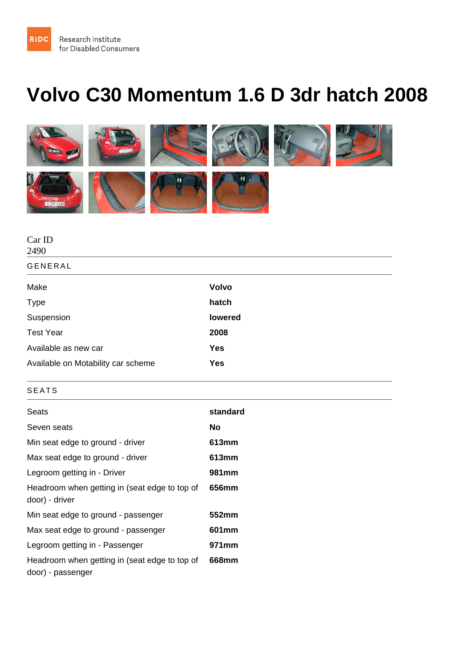## Volvo C30 Momentum 1.6 D 3dr hatch 2008

| Car ID<br>2490                                                     |          |
|--------------------------------------------------------------------|----------|
| <b>GENERAL</b>                                                     |          |
| Make                                                               | Volvo    |
| <b>Type</b>                                                        | hatch    |
| Suspension                                                         | lowered  |
| <b>Test Year</b>                                                   | 2008     |
| Available as new car                                               | Yes      |
| Available on Motability car scheme                                 | Yes      |
| <b>SEATS</b>                                                       |          |
| <b>Seats</b>                                                       | standard |
| Seven seats                                                        | No       |
| Min seat edge to ground - driver                                   | 613mm    |
| Max seat edge to ground - driver                                   | 613mm    |
| Legroom getting in - Driver                                        | 981mm    |
| Headroom when getting in (seat edge to top of<br>door) - driver    | 656mm    |
| Min seat edge to ground - passenger                                | 552mm    |
| Max seat edge to ground - passenger                                | 601mm    |
| Legroom getting in - Passenger                                     | 971mm    |
| Headroom when getting in (seat edge to top of<br>door) - passenger | 668mm    |